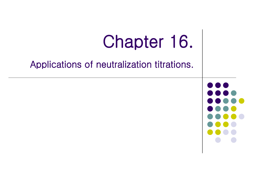

## Applications of neutralization titrations.

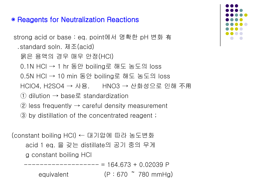## ◉ Reagents for Neutralization Reactions

```
strong acid or base : eq. point에서 명확한 pH 변화 有
  ․standard soln. 제조(acid) 
   묽은 용액의 경우 매우 안정(HCl) 
   0.1N HCl → 1 hr 동안 boiling로 해도 농도의 loss 
  0.5N HCl \rightarrow 10 min 동안 boiling로 해도 농도의 loss
   HClO4, H2SO4 → 사용. HNO3 → 산화성으로 인해 不用
  (1) dilution \rightarrow base \Xi standardization
  (2) less frequently \rightarrow careful density measurement
   ③ by distillation of the concentrated reagent ;
```

```
(constant boiling HCl) ← 대기압에 따라 농도변화
     acid 1 eq. 을 갖는 distillate의 공기 중의 무게
     g constant boiling HCl 
                 ------------------- = 164.673 + 0.02039 P 
        equivalent (P : 670 \text{ T} 780 \text{ mmHg})
```
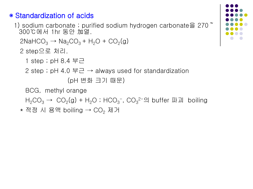## ● Standardization of acids

1) sodium carbonate ; purified sodium hydrogen carbonate  $\geq 270$ 300℃에서 1hr 동안 加열.

 $2NaHCO<sub>3</sub> \rightarrow Na<sub>2</sub>CO<sub>3</sub> + H<sub>2</sub>O + CO<sub>2</sub>(g)$ 

- 2 step으로 처리.
	- 1 step ; pH 8.4 부근
	- 2 step ; pH 4.0 부근  $\rightarrow$  always used for standardization (pH 변화 크기 때문)
	- BCG, methyl orange
- $H_2CO_3 \rightarrow CO_2(g) + H_2O$ ; HCO<sub>3</sub><sup>-</sup>, CO<sub>3</sub><sup>2-</sup>의 buffer 파괴 boiling
	- \*적정 시 용액 boiling → CO<sub>2</sub> 제거

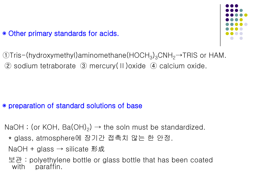## • Other primary standards for acids.



 $\text{Orris-}($ hydroxymethyl)aminomethane(HOCH<sub>3</sub>)<sub>3</sub>CNH<sub>2</sub>→TRIS or HAM. ② sodium tetraborate ③ mercury(Ⅱ)oxide ④ calcium oxide.

## ◉ preparation of standard solutions of base

- NaOH ; (or KOH, Ba(OH)<sub>2</sub>)  $\rightarrow$  the soln must be standardized.
	- \* glass, atmosphere에 장기간 접촉치 않는 한 안정.
	- $NaOH + glass \rightarrow silicate E$
	- 보관 : polyethylene bottle or glass bottle that has been coated with paraffin.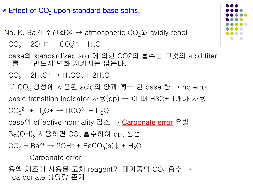## ● Effect of CO<sub>2</sub> upon standard base solns.

Na, K, Ba의 수산화물 → atmospheric CO<sub>2</sub>와 avidly react  $CO_2 + 2OH^- \rightarrow CO_3^{2-} + H_2O$ 

 base의 standardized soln에 의한 CO2의 흡수는 그것의 acid titer 를 반드시 변화 시키지는 않는다.

 $CO_2 + 2H_3O^+ \rightarrow H_2CO_3 + 2H_2O$ 

 ∵ CO<sup>3</sup> 형성에 사용된 acid의 양과 同一 한 base 량 → no error basic transition indicator 사용(pp)  $\rightarrow$  이 때 H3O+ 1개가 사용  $CO_3^2$ <sup>-</sup> + H<sub>3</sub>O+  $\rightarrow$  HCO<sup>3-</sup> + H<sub>2</sub>O base의 effective normality 감소 → Carbonate error 유발 Ba(OH), 사용하면 CO, 흡수하여 ppt 생성  $CO<sub>2</sub> + Ba<sup>2+</sup> \rightarrow 2OH^- + BacO<sub>3</sub>(s) \downarrow + H<sub>2</sub>O$ 

Carbonate error

용액 제조에 사용된 고체 reagent가 대기중의 CO<sub>2</sub> 흡수 → carbonate 상당량 존재

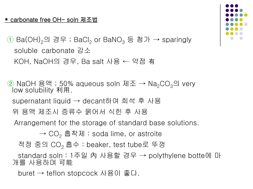#### \* carbonate free OH- soln 제조법

 $\Box$  Ba(OH)<sub>2</sub>의 경우 ; BaCl<sub>2</sub> or BaNO<sub>3</sub> 등 첨가 → sparingly soluble carbonate 감소 KOH, NaOH의 경우, Ba salt 사용 ← 약점 有

② NaOH 용액 ; 50% aqueous soln 제조 → Na<sub>2</sub>CO<sub>3</sub>의 very low solubility 利用.

supernatant liquid → decant하여 희석 후 사용

위 용액 제조시 증류수 묽어서 식힌 후 사용

Arrangement for the storage of standard base solutions.

 $\rightarrow$  CO<sub>2</sub> 흡착제 : soda lime, or astroite

적정 중의 CO2 흡수 : beaker, test tube로 뚜껑

 standard soln : 1주일 內 사용할 경우 → polythylene botte에 마 개를 사용하며 可能

buret → teflon stopcock 사용이 좋다.

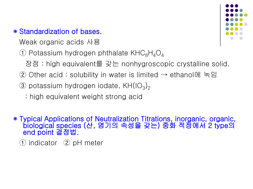## ● Standardization of bases.

Weak organic acids 사용

 $\circled{1}$  Potassium hydrogen phthalate KHC<sub>8</sub>H<sub>4</sub>O<sub>4</sub>

장점 : high equivalent를 갖는 nonhygroscopic crystalline solid.

- $\alpha$  Other acid : solubility in water is limited  $\rightarrow$  ethanol에 녹임
- 3 potassium hydrogen iodate, KH $(IO_3)_2$ 
	- : high equivalent weight strong acid

◉ Typical Applications of Neutralization Titrations, inorganic, organic, biological species (산, 염기의 속성을 갖는) 중화 적정에서 2 type의<br>end point 결정법.

① indicator ② pH meter

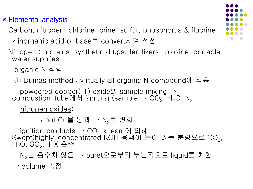## ◉ Elemental analysis

Carbon, nitrogen, chlorine, brine, sulfur, phosphorus & fluorine

- → inorganic acid or base로 convert시켜 적정
- Nitrogen ; proteins, synthetic drugs, fertilizers uplosine, portable water supplies
- ․ organic N 정량
	- ① Dumas method : virtually all organic N compound에 적용
	- powdered copper(Ⅱ) oxide와 sample mixing  $\rightarrow$ combustion tube에서 igniting (sample  $\rightarrow$  CO<sub>2</sub>, H<sub>2</sub>O, N<sub>2</sub>,

nitrogen oxides)

↳ hot Cu을 통과 → N<sub>2</sub>로 변화

ignition products  $\rightarrow$  CO<sub>2</sub> stream에 의해 Swept(highly concentrated KOH 용액이 들어 있는 분량으로 CO<sub>2</sub>,<br>H<sub>2</sub>O, SO<sub>2</sub>, HX 흡수

```
 N2는 흡수치 않음 → buret으로부터 부분적으로 liquid를 치환
```
→ volume 측정

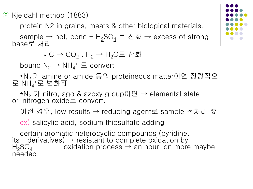② Kjeldahl method (1883)

protein N2 in grains, meats & other biological materials.

sample  $\rightarrow$  hot, conc - H<sub>2</sub>SO<sub>4</sub> 로 산화  $\rightarrow$  excess of strong base로 처리

↳ C → CO<sub>2</sub>, H<sub>2</sub> → H<sub>2</sub>O로 산화

bound  $N_2 \rightarrow NH_4^+ \equiv$  convert

\*N<sub>2</sub> 가 amine or amide 등의 proteineous matter이면 정량적으 로 N $\mathsf{H_4}^{\scriptscriptstyle +}$ 로 변화可

 $*N<sub>2</sub>$  가 nitro, ago & azoxy group이면  $\rightarrow$  elemental state or nitrogen oxide로 convert.

이런 경우, low results → reducing agent로 sample 전처리 要

ex) salicylic acid, sodium thiosulfate adding

 certain aromatic heterocyclic compounds (pyridine, its derivatives)  $\rightarrow$  resistant to complete oxidation by  $H_2SO_4$  oxidation process  $\rightarrow$  an hour, on more oxidation process  $\rightarrow$  an hour, on more maybe needed.

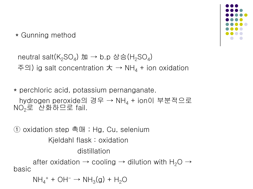\* Gunning method

neutral salt(K<sub>2</sub>SO<sub>4</sub>) 加 → b.p 상승(H<sub>2</sub>SO<sub>4</sub>) 주의) ig salt concentration  $\pm \rightarrow NH_4 +$  ion oxidation

\* perchloric acid, potassium pernanganate.

hydrogen peroxide의 경우 → NH<sub>4</sub> + ion이 부분적으로  $NO<sub>2</sub>로 산화하므로 fail.$ 

① oxidation step 촉매 ; Hg, Cu, selenium Kjeldahl flask : oxidation distillation after oxidation  $\rightarrow$  cooling  $\rightarrow$  dilution with H<sub>2</sub>O  $\rightarrow$ basic

 $\mathsf{NH_4}^+ + \mathsf{OH}^- \rightarrow \mathsf{NH_3(g)} + \mathsf{H_2O}$ 

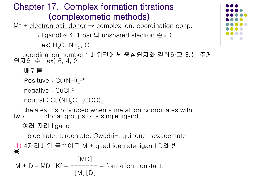# Chapter 17. Complex formation titrations **(complexometic methods)**<br>M<sup>+</sup> + electron pair donor  $\rightarrow$  complex ion, coordination conp.

↳ ligand(최소 1 pair의 unshared eleclron 존재)

ex)  $H_2O$ ,  $NH_3$ , CI<sup>-</sup>

 coordination number : 배위권에서 중심원자와 결합하고 있는 주게 원자의 수. ex) 6, 4, 2

․배위물

Posituve : Cu(NH) $_4^{\rm 2+}$ 

negative : CuCl<sub>4</sub><sup>2-</sup>

noutral:  $Cu(NH_2CH_2COO)_2$ 

 chelates ; is produced when a metal ion coordinates with two donar groups of a single ligand.

여러 자리 ligand

bidentate, terdentate, Qwadri-, quinque, sexadentate

```
1) 4자리배위 금속이온 M + quadridentate ligand D와 반
응
```

```
 [MD] 
M + D \approx MD Kf = ----- = formation constant.
              [M][D]
```
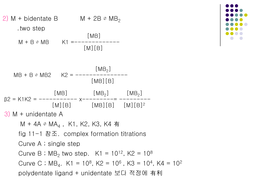

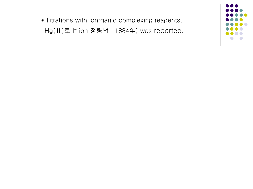◉ Titrations with ionrganic complexing reagents. Hg(II)로 I<sup>-</sup> ion 정량법 11834年) was reported.

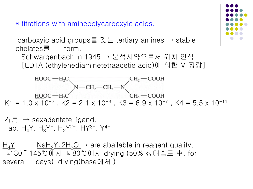◉ titrations with aminepolycarboxyic acids.

carboxyic acid groups를 갖는 tertiary amines  $\rightarrow$  stable chelates를 form.

 Schwargenbach in 1945 → 분석시약으로서 위치 인식 [EDTA (ethylenediaminetetraacetie acid)에 의한 M 정량]



$$
\bar{A}
$$
 #  $\rightarrow$  sexadentate ligand.   
\nab, H<sub>4</sub>Y, H<sub>3</sub>Y<sup>−</sup>, H<sub>2</sub>Y<sup>2−</sup>, HY<sup>3−</sup>, Y<sup>4−</sup>

 $\frac{H_4Y_1}{W_1}$ ,  $\frac{N_1H_2Y_2H_2O}{W_1W_2}$  are abailable in reagent quality. ↳130~145℃에서 ↳ 80℃에서 drying (50% 상대습도 中, for several days) drying(base에서 )

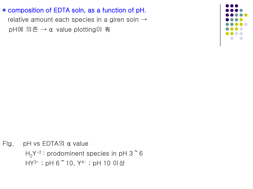#### ◉ composition of EDTA soln, as a function of pH.

relative amount each species in a giren soln  $\rightarrow$ pH에 의존 → α value plotting이 有



Fig. pH vs  $EDTA2$   $\alpha$  value  $H_2Y^{-2}$ : prodominent species in pH 3  $\tilde{6}$ HY3- ; pH 6~10, Y4- ; pH 10 이상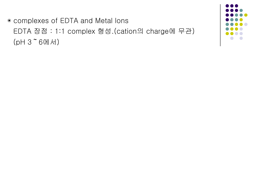◉ complexes of EDTA and Metal lons EDTA 장점 : 1:1 complex 형성.(cation의 charge에 무관)  $(pH 3°60H)$ 

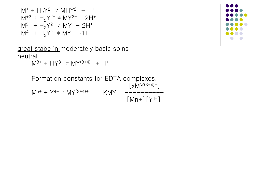$$
M^{+} + H_{2}Y^{2-} \rightleftharpoons MHY^{2-} + H^{+}
$$
  
\n
$$
M^{+2} + H_{2}Y^{2-} \rightleftharpoons MY^{2-} + 2H^{+}
$$
  
\n
$$
M^{3+} + H_{2}Y^{2-} \rightleftharpoons MY^{-} + 2H^{+}
$$
  
\n
$$
M^{4+} + H_{2}Y^{2-} \rightleftharpoons MY + 2H^{+}
$$

great stabe in moderately basic solns neutral

 $M^{3+}$  + HY<sup>3-</sup>  $\geq$  MY<sup>(3+4)+</sup> + H<sup>+</sup>

 Formation constants for EDTA complexes.  $[\times \mathsf{MY}^{(3+4)+}]$  $M^{n+} + Y^{4-} \doteq MY^{(3+4)+}$  KMY = ---------- $[Mn+](Y^{4-}]$ 

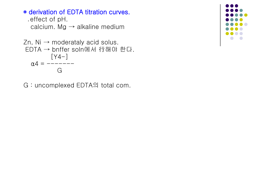## ◉ derivation of EDTA titration curves.

```
 ․effect of pH. 
 calcium. Mg \rightarrow alkaline medium
```

```
Zn, Ni \rightarrow moderataly acid solus.
EDTA → bnffer soln에서 行해야 한다. 
          [Y4-] 
  \alpha4 = --- G
```
G : uncomplexed EDTA의 total com.

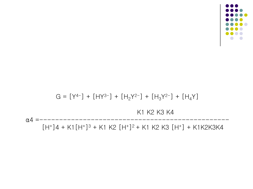$\alpha$ 4 =----- $[H^+]$ 4 + K1 $[H^+]$ <sup>3</sup> + K1 K2  $[H^+]$ <sup>2</sup> + K1 K2 K3  $[H^+]$  + K1K2K3K4

K1 K2 K3 K4

 $G = [Y^{4-}] + [HY^{3-}] + [H_2Y^{2-}] + [H_3Y^{2-}] + [H_4Y]$ 

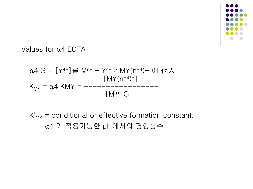

#### Values for α4 EDTA

$$
\alpha 4 \text{ G} = [Y^{4-}] \equiv \text{ M}^{n+} + Y^{4-} \approx \text{ MY}(n^{-4}) + \text{ OH } \text{ f} \text{ A}
$$
  
\n
$$
[ \text{ MY}(n^{-4})^+ ]
$$
  
\n
$$
\text{K}_{\text{MY}} = \alpha 4 \text{ K} \text{ MY} = \text{---} \text{---} \text{---} \text{---} \text{---} \text{---}
$$
  
\n
$$
[ \text{M}^{n+} ] \text{G}
$$

 $K'_{MY}$  = conditional or effective formation constant. α4 가 적용가능한 pH에서의 평행상수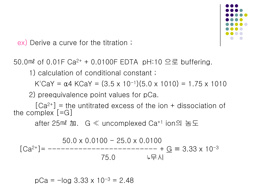

ex) Derive a curve for the titration ;

50.0 $\mathbb{R}$  of 0.01F Ca<sup>2+</sup> + 0.0100F EDTA pH:10  $\mathfrak{S} \subseteq \mathbb{R}$  buffering.

1) calculation of conditional constant ;

K'CaY =  $\alpha$ 4 KCaY =  $(3.5 \times 10^{-1})(5.0 \times 1010) = 1.75 \times 1010$ 

2) preequivalence point values for pCa.

 $[Ca<sup>2+</sup>]$  = the untitrated excess of the ion + dissociation of the complex [=G]

after 25㎖ 加. G ≪ uncomplexed Ca+1 ion의 농도

$$
[Ca^{2+}] = \frac{50.0 \times 0.0100 - 25.0 \times 0.0100}{75.0}
$$
  
[Ca<sup>2+</sup>] =  $\frac{50.0 \times 0.0100 - 25.0 \times 0.0100}{45.0}$ 

 $pCa = -log 3.33 \times 10^{-3} = 2.48$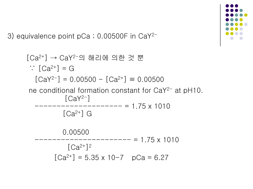3) equivalence point pCa ; 0.00500F in CaY2-

 [Ca2+] → CaY2-의 해리에 의한 것 뿐 ∵ [Ca2+] = G [CaY2-] = 0.00500 - [Ca2+] ≡ 0.00500 ne conditional formation constant for CaY2- at pH10. [CaY2-] -------------------- = 1.75 x 1010 [Ca2+] G 0.00500 ---------------------- = 1.75 x 1010 [Ca2+]<sup>2</sup> [Ca2+] = 5.35 x 10-7 pCa = 6.27

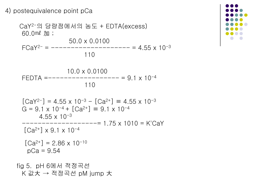#### 4) postequivalence point pCa



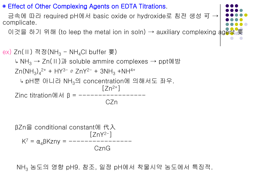#### ◉ Effect of Other Complexing Agents on EDTA Titrations.

금속에 따라 required pH에서 basic oxide or hydroxide로 침전 생성 可 → complicate.

이것을 하기 위해 (to leep the metal ion in soln) → auxiliary complexing  $\frac{1}{4}$ 

ex) Zn(Ⅱ) 적정(NH<sub>3</sub> - NH<sub>4</sub>Cl buffer 要) ↳ NH3 → Zn(Ⅱ)과 soluble ammire complexes → ppt예방  $Zn(NH_3)_4^{2+}$  + HY<sup>3-</sup>  $\Rightarrow$  ZnY<sup>2-</sup> + 3NH<sub>3</sub> +NH<sup>4+</sup> ↳ pH뿐 아니라 NH3의 concentration에 의해서도 좌우.  $[Zn^{2+}]$ Zinc titration에서  $β =$  ------------**CZn** CZn Cznie podpisy podpisy cznie podpisy podpisy cznie podpisy podpisy cznie podpisy podpisy cznie podpisy podpisy cznie podpisy cznie podpisy cznie podpisy cznie podpisy cznie podpisy cznie podpisy cznie podpisy czni

 βZn을 conditional constant에 代入  $[ZnY^{2-}]$  K7 = α4βKzny = ---------------- **CznG** CznG

NH<sub>3</sub> 농도의 영향 pH9. 참조, 일정 pH에서 착물시약 농도에서 특징적.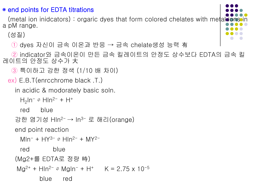#### ◉ end points for EDTA titrations

(metal ion inidcators): orgaric dyes that form colored chelates with metal a pM range.

(성질)

① dyes 자신이 금속 이온과 반응 → 금속 chelate생성 능력 有

 ② indicator와 금속이온이 만든 금속 킬레이트의 안정도 상수보다 EDTA의 금속 킬 레이트의 안정도 상수가 大

- ③ 특이하고 강한 정색 (1/10 배 차이)
- ex) E.B.T(enrcchrome black .T.)

in acidic & modorately basic soln.

```
H_2In<sup>-</sup> \approx HIn<sup>2-</sup> + H<sup>+</sup>
```
red blue

```
강한 염기성 Hln<sup>2-</sup> → ln<sup>3-</sup> 로 해리(orange)
```
end point reaction

```
MIn^{-} + HY^{3-} \cong HIn^{2-} + MY^{2-}
```
red blue

(Mg2+를 EDTA로 정량 時)

```
Mg^{2+} + Hln<sup>2-</sup> \approx Mgln<sup>-</sup> + H<sup>+</sup> K = 2.75 x 10<sup>-5</sup>
```
blue red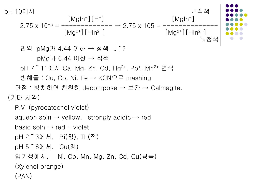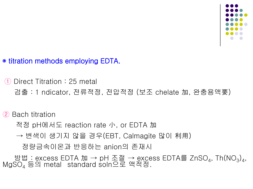

## ◉ titration methods employing EDTA.

Direct Titration : 25 metal

검출 : 1 ndicator, 전류적정, 전압적정 (보조 chelate 加, 완충용액要)

#### **Bach titration**

적정 pH에서도 reaction rate 小, or EDTA 加

→ 변색이 생기지 않을 경우(EBT, Calmagite 많이 利用)

정량금속이온과 반응하는 anion의 존재시

방법 : excess EDTA 加 → pH 조절 → excess EDTA를 ZnSO<sub>4</sub>, Th(NO<sub>3</sub>)<sub>4</sub>, MgSO<sub>4</sub> 등의 metal standard soln으로 액적정.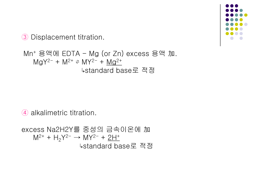③ Displacement titration.

Mn<sup>+</sup> 용액에 EDTA - Mg (or Zn) excess 용액 加.  $MgY^{2-} + M^{2+} \approx MY^{2-} + Mg^{2+}$ ↳standard base로 적정

④ alkalimetric titration.

excess Na2H2Y를 중성의 금속이온에 加  $M^{2+}$  +  $H_2Y^{2-}$   $\rightarrow$   $MY^{2-}$  +  $2H^+$ ↳standard base로 적정